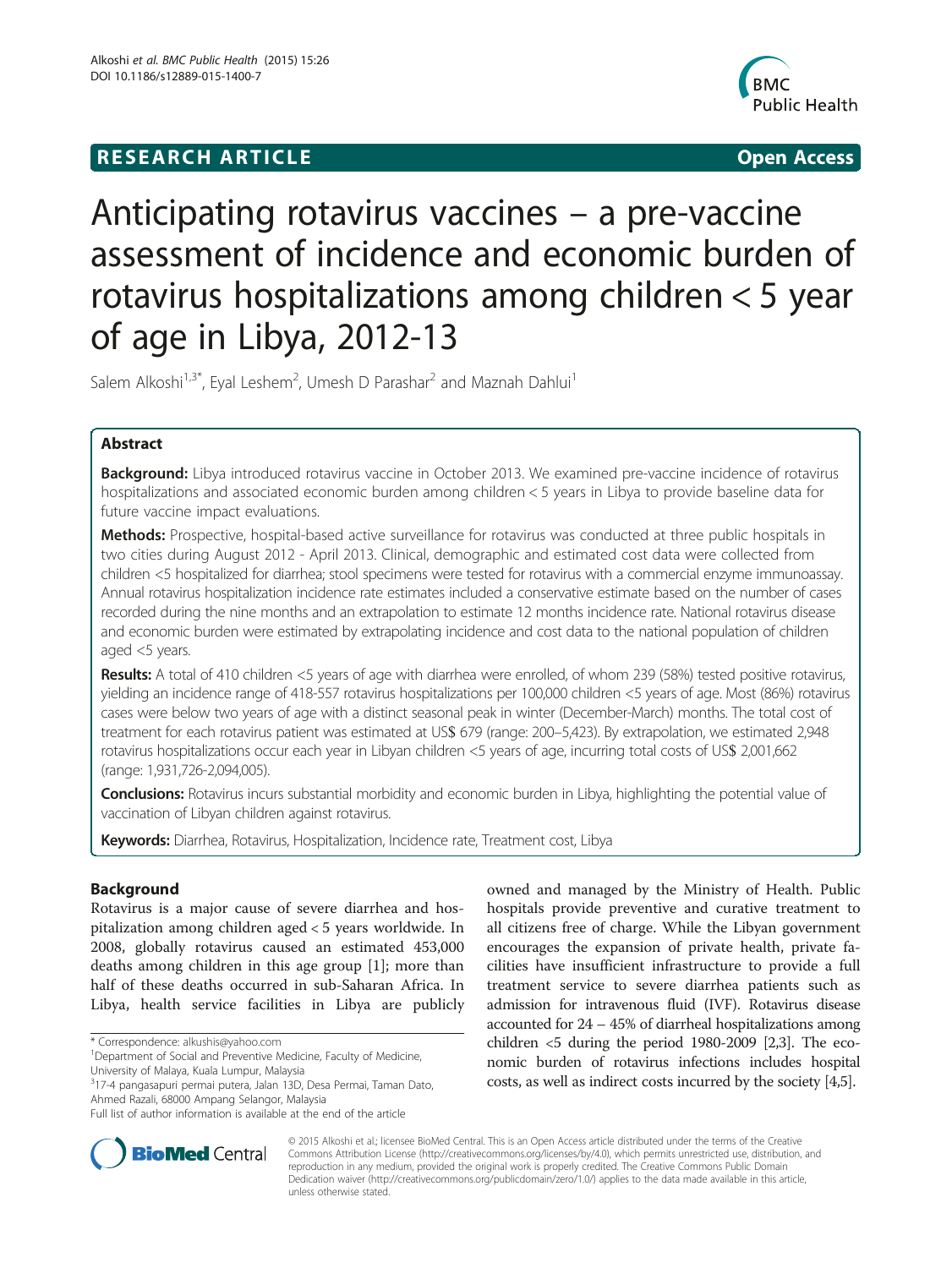## **RESEARCH ARTICLE Example 2014 12:30 The SEAR CHIPS 2014 12:30 The Open Access**



# Anticipating rotavirus vaccines – a pre-vaccine assessment of incidence and economic burden of rotavirus hospitalizations among children < 5 year of age in Libya, 2012-13

Salem Alkoshi<sup>1,3\*</sup>, Eyal Leshem<sup>2</sup>, Umesh D Parashar<sup>2</sup> and Maznah Dahlui<sup>1</sup>

## Abstract

Background: Libya introduced rotavirus vaccine in October 2013. We examined pre-vaccine incidence of rotavirus hospitalizations and associated economic burden among children < 5 years in Libya to provide baseline data for future vaccine impact evaluations.

Methods: Prospective, hospital-based active surveillance for rotavirus was conducted at three public hospitals in two cities during August 2012 - April 2013. Clinical, demographic and estimated cost data were collected from children <5 hospitalized for diarrhea; stool specimens were tested for rotavirus with a commercial enzyme immunoassay. Annual rotavirus hospitalization incidence rate estimates included a conservative estimate based on the number of cases recorded during the nine months and an extrapolation to estimate 12 months incidence rate. National rotavirus disease and economic burden were estimated by extrapolating incidence and cost data to the national population of children aged <5 years.

Results: A total of 410 children <5 years of age with diarrhea were enrolled, of whom 239 (58%) tested positive rotavirus, yielding an incidence range of 418-557 rotavirus hospitalizations per 100,000 children <5 years of age. Most (86%) rotavirus cases were below two years of age with a distinct seasonal peak in winter (December-March) months. The total cost of treatment for each rotavirus patient was estimated at US\$ 679 (range: 200–5,423). By extrapolation, we estimated 2,948 rotavirus hospitalizations occur each year in Libyan children <5 years of age, incurring total costs of US\$ 2,001,662 (range: 1,931,726-2,094,005).

**Conclusions:** Rotavirus incurs substantial morbidity and economic burden in Libya, highlighting the potential value of vaccination of Libyan children against rotavirus.

Keywords: Diarrhea, Rotavirus, Hospitalization, Incidence rate, Treatment cost, Libya

## Background

Rotavirus is a major cause of severe diarrhea and hospitalization among children aged < 5 years worldwide. In 2008, globally rotavirus caused an estimated 453,000 deaths among children in this age group [\[1](#page-4-0)]; more than half of these deaths occurred in sub-Saharan Africa. In Libya, health service facilities in Libya are publicly owned and managed by the Ministry of Health. Public hospitals provide preventive and curative treatment to all citizens free of charge. While the Libyan government encourages the expansion of private health, private facilities have insufficient infrastructure to provide a full treatment service to severe diarrhea patients such as admission for intravenous fluid (IVF). Rotavirus disease accounted for 24 – 45% of diarrheal hospitalizations among children <5 during the period 1980-2009 [[2,3](#page-4-0)]. The economic burden of rotavirus infections includes hospital costs, as well as indirect costs incurred by the society [\[4,5\]](#page-4-0).



© 2015 Alkoshi et al.; licensee BioMed Central. This is an Open Access article distributed under the terms of the Creative Commons Attribution License [\(http://creativecommons.org/licenses/by/4.0\)](http://creativecommons.org/licenses/by/4.0), which permits unrestricted use, distribution, and reproduction in any medium, provided the original work is properly credited. The Creative Commons Public Domain Dedication waiver [\(http://creativecommons.org/publicdomain/zero/1.0/](http://creativecommons.org/publicdomain/zero/1.0/)) applies to the data made available in this article, unless otherwise stated.

<sup>\*</sup> Correspondence: [alkushis@yahoo.com](mailto:alkushis@yahoo.com) <sup>1</sup>

<sup>&</sup>lt;sup>1</sup> Department of Social and Preventive Medicine, Faculty of Medicine,

University of Malaya, Kuala Lumpur, Malaysia

<sup>3</sup> 17-4 pangasapuri permai putera, Jalan 13D, Desa Permai, Taman Dato, Ahmed Razali, 68000 Ampang Selangor, Malaysia

Full list of author information is available at the end of the article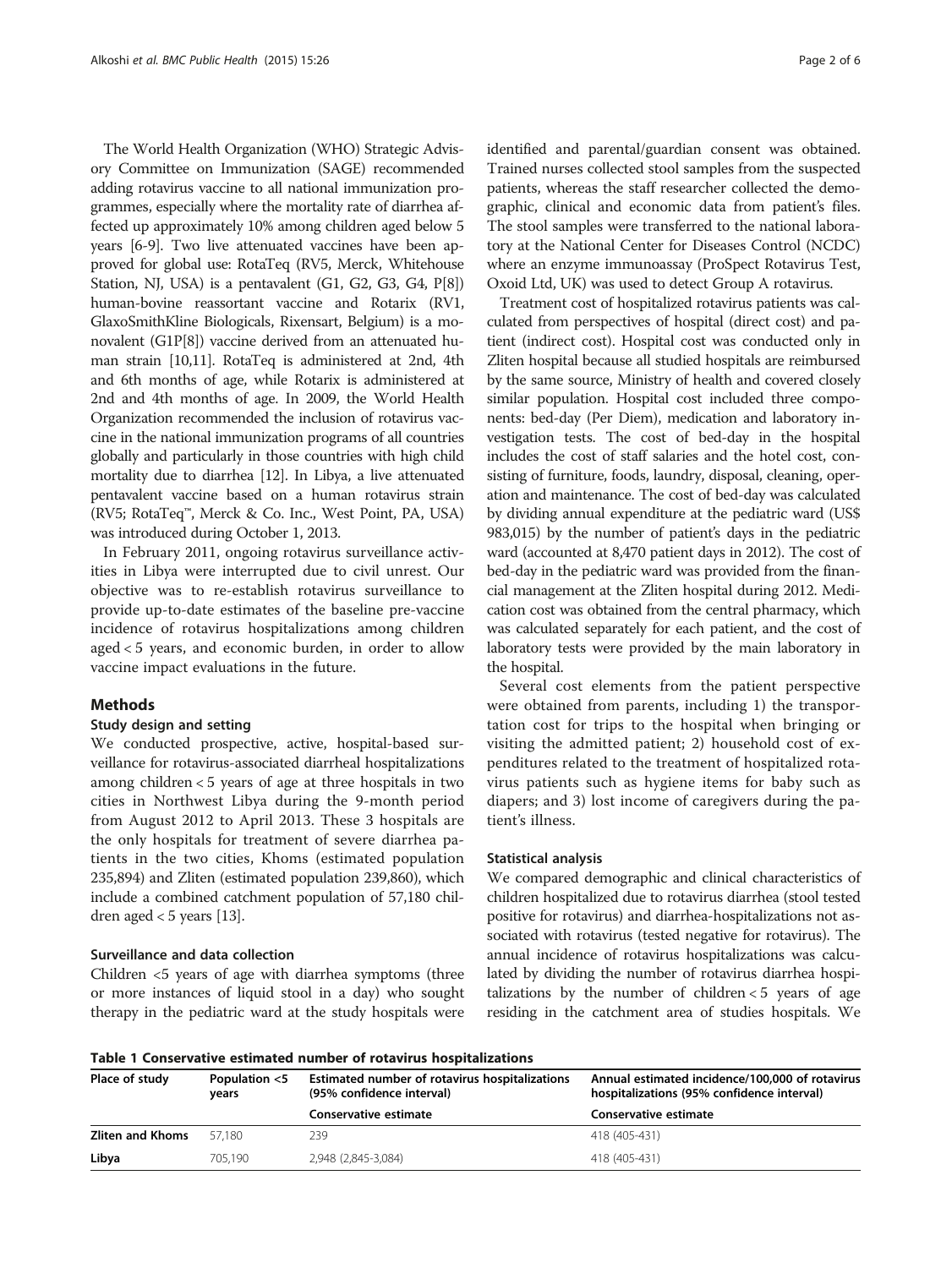<span id="page-1-0"></span>The World Health Organization (WHO) Strategic Advisory Committee on Immunization (SAGE) recommended adding rotavirus vaccine to all national immunization programmes, especially where the mortality rate of diarrhea affected up approximately 10% among children aged below 5 years [\[6](#page-4-0)[-9](#page-5-0)]. Two live attenuated vaccines have been approved for global use: RotaTeq (RV5, Merck, Whitehouse Station, NJ, USA) is a pentavalent (G1, G2, G3, G4, P[8]) human-bovine reassortant vaccine and Rotarix (RV1, GlaxoSmithKline Biologicals, Rixensart, Belgium) is a monovalent (G1P[8]) vaccine derived from an attenuated human strain [[10,11\]](#page-5-0). RotaTeq is administered at 2nd, 4th and 6th months of age, while Rotarix is administered at 2nd and 4th months of age. In 2009, the World Health Organization recommended the inclusion of rotavirus vaccine in the national immunization programs of all countries globally and particularly in those countries with high child mortality due to diarrhea [[12](#page-5-0)]. In Libya, a live attenuated pentavalent vaccine based on a human rotavirus strain (RV5; RotaTeq™, Merck & Co. Inc., West Point, PA, USA) was introduced during October 1, 2013.

In February 2011, ongoing rotavirus surveillance activities in Libya were interrupted due to civil unrest. Our objective was to re-establish rotavirus surveillance to provide up-to-date estimates of the baseline pre-vaccine incidence of rotavirus hospitalizations among children aged < 5 years, and economic burden, in order to allow vaccine impact evaluations in the future.

#### Methods

#### Study design and setting

We conducted prospective, active, hospital-based surveillance for rotavirus-associated diarrheal hospitalizations among children < 5 years of age at three hospitals in two cities in Northwest Libya during the 9-month period from August 2012 to April 2013. These 3 hospitals are the only hospitals for treatment of severe diarrhea patients in the two cities, Khoms (estimated population 235,894) and Zliten (estimated population 239,860), which include a combined catchment population of 57,180 children aged  $<$  5 years [\[13](#page-5-0)].

## Surveillance and data collection

Children <5 years of age with diarrhea symptoms (three or more instances of liquid stool in a day) who sought therapy in the pediatric ward at the study hospitals were identified and parental/guardian consent was obtained. Trained nurses collected stool samples from the suspected patients, whereas the staff researcher collected the demographic, clinical and economic data from patient's files. The stool samples were transferred to the national laboratory at the National Center for Diseases Control (NCDC) where an enzyme immunoassay (ProSpect Rotavirus Test, Oxoid Ltd, UK) was used to detect Group A rotavirus.

Treatment cost of hospitalized rotavirus patients was calculated from perspectives of hospital (direct cost) and patient (indirect cost). Hospital cost was conducted only in Zliten hospital because all studied hospitals are reimbursed by the same source, Ministry of health and covered closely similar population. Hospital cost included three components: bed-day (Per Diem), medication and laboratory investigation tests. The cost of bed-day in the hospital includes the cost of staff salaries and the hotel cost, consisting of furniture, foods, laundry, disposal, cleaning, operation and maintenance. The cost of bed-day was calculated by dividing annual expenditure at the pediatric ward (US\$ 983,015) by the number of patient's days in the pediatric ward (accounted at 8,470 patient days in 2012). The cost of bed-day in the pediatric ward was provided from the financial management at the Zliten hospital during 2012. Medication cost was obtained from the central pharmacy, which was calculated separately for each patient, and the cost of laboratory tests were provided by the main laboratory in the hospital.

Several cost elements from the patient perspective were obtained from parents, including 1) the transportation cost for trips to the hospital when bringing or visiting the admitted patient; 2) household cost of expenditures related to the treatment of hospitalized rotavirus patients such as hygiene items for baby such as diapers; and 3) lost income of caregivers during the patient's illness.

#### Statistical analysis

We compared demographic and clinical characteristics of children hospitalized due to rotavirus diarrhea (stool tested positive for rotavirus) and diarrhea-hospitalizations not associated with rotavirus (tested negative for rotavirus). The annual incidence of rotavirus hospitalizations was calculated by dividing the number of rotavirus diarrhea hospitalizations by the number of children  $< 5$  years of age residing in the catchment area of studies hospitals. We

Table 1 Conservative estimated number of rotavirus hospitalizations

| Place of study          | Population <5<br>years | Estimated number of rotavirus hospitalizations<br>(95% confidence interval) | Annual estimated incidence/100,000 of rotavirus<br>hospitalizations (95% confidence interval)<br>Conservative estimate |  |
|-------------------------|------------------------|-----------------------------------------------------------------------------|------------------------------------------------------------------------------------------------------------------------|--|
|                         |                        | Conservative estimate                                                       |                                                                                                                        |  |
| <b>Zliten and Khoms</b> | 57.180                 | 239                                                                         | 418 (405-431)                                                                                                          |  |
| Libya                   | 705.190                | 2,948 (2,845-3,084)                                                         | 418 (405-431)                                                                                                          |  |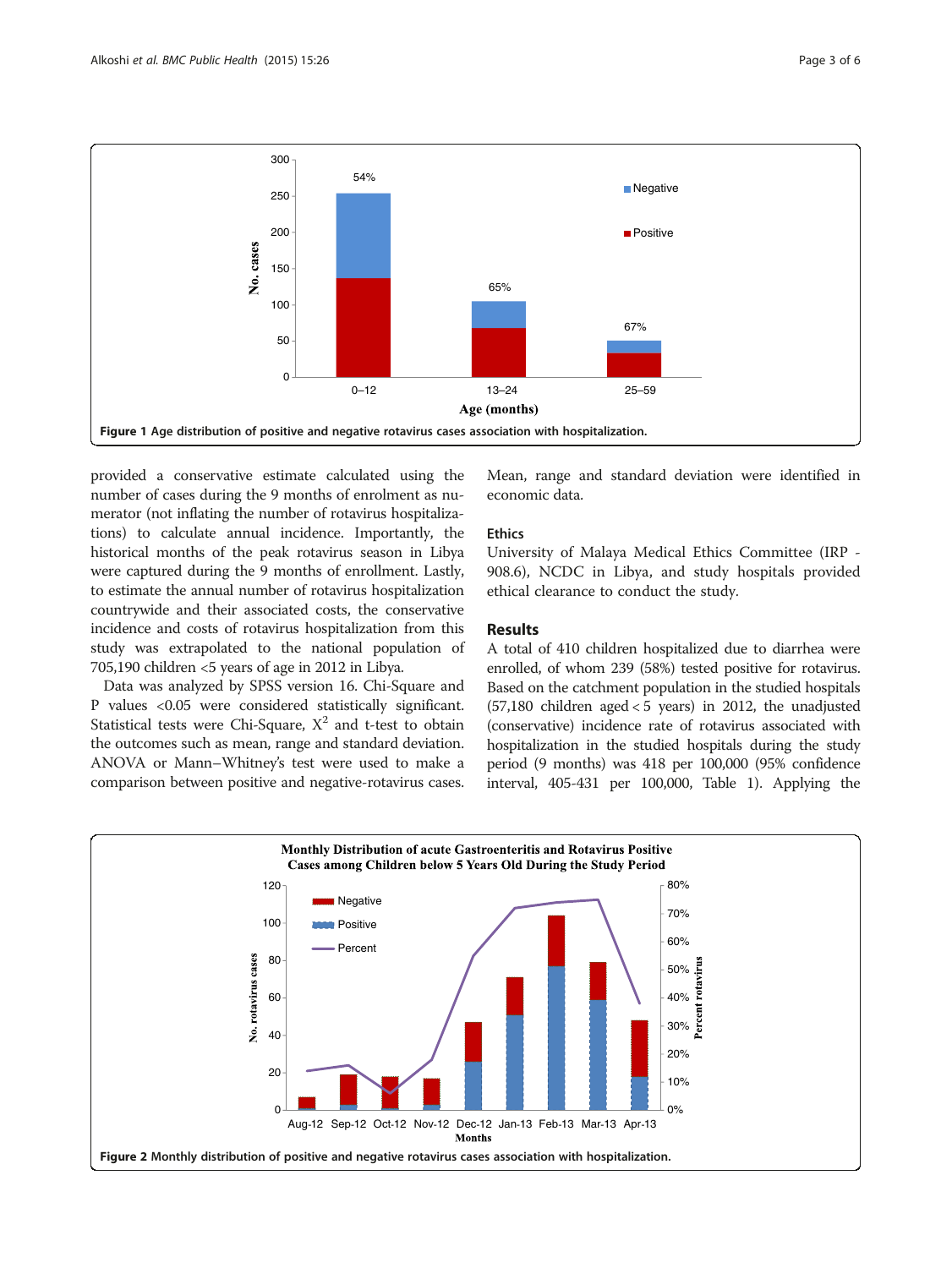<span id="page-2-0"></span>

provided a conservative estimate calculated using the number of cases during the 9 months of enrolment as numerator (not inflating the number of rotavirus hospitalizations) to calculate annual incidence. Importantly, the historical months of the peak rotavirus season in Libya were captured during the 9 months of enrollment. Lastly, to estimate the annual number of rotavirus hospitalization countrywide and their associated costs, the conservative incidence and costs of rotavirus hospitalization from this study was extrapolated to the national population of 705,190 children <5 years of age in 2012 in Libya.

Data was analyzed by SPSS version 16. Chi-Square and P values <0.05 were considered statistically significant. Statistical tests were Chi-Square,  $X^2$  and t-test to obtain the outcomes such as mean, range and standard deviation. ANOVA or Mann–Whitney's test were used to make a comparison between positive and negative-rotavirus cases. Mean, range and standard deviation were identified in economic data.

## Ethics

University of Malaya Medical Ethics Committee (IRP - 908.6), NCDC in Libya, and study hospitals provided ethical clearance to conduct the study.

## Results

A total of 410 children hospitalized due to diarrhea were enrolled, of whom 239 (58%) tested positive for rotavirus. Based on the catchment population in the studied hospitals  $(57,180 \text{ children aged} < 5 \text{ years})$  in 2012, the unadjusted (conservative) incidence rate of rotavirus associated with hospitalization in the studied hospitals during the study period (9 months) was 418 per 100,000 (95% confidence interval, 405-431 per 100,000, Table [1](#page-1-0)). Applying the

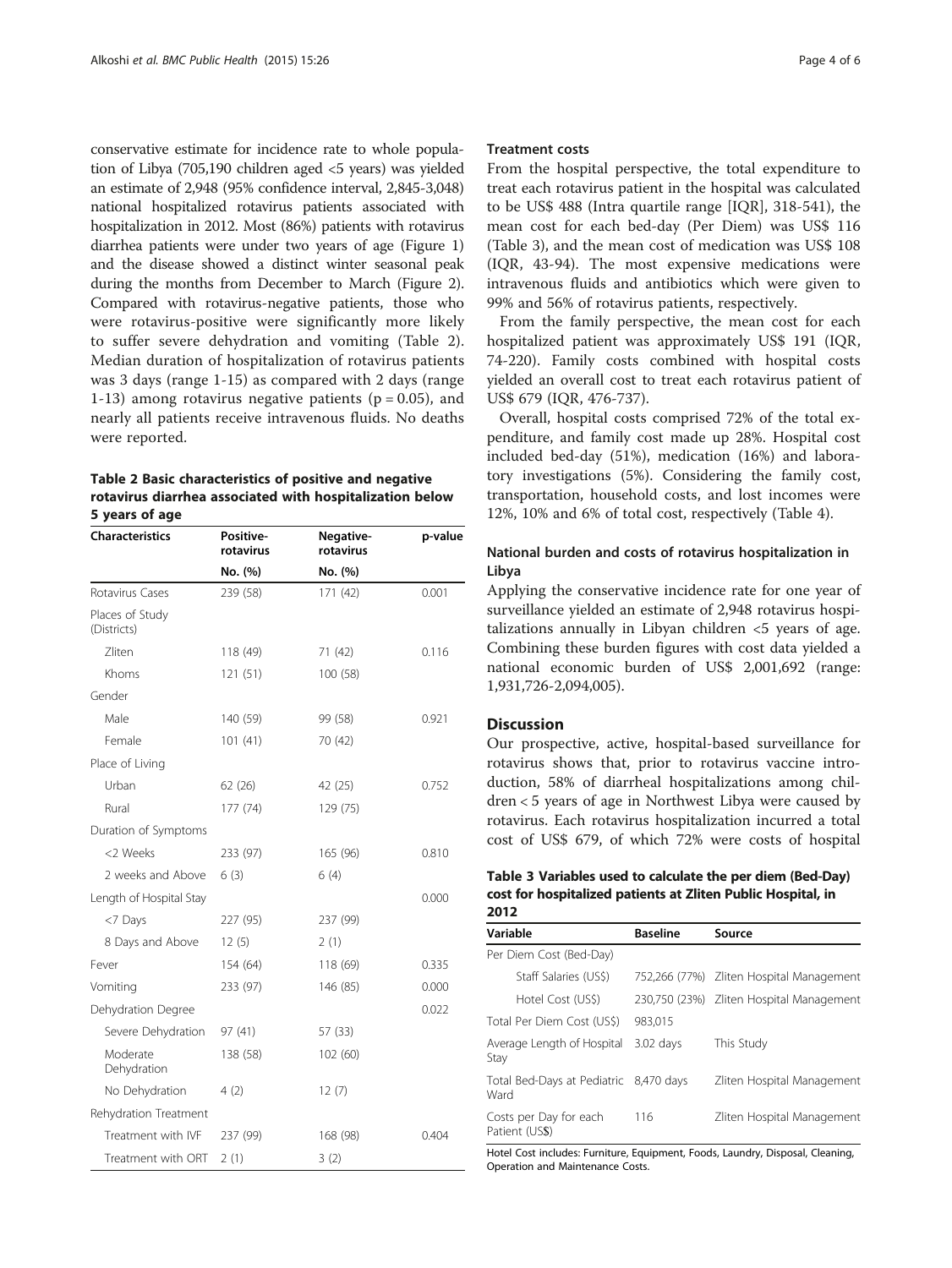conservative estimate for incidence rate to whole population of Libya (705,190 children aged <5 years) was yielded an estimate of 2,948 (95% confidence interval, 2,845-3,048) national hospitalized rotavirus patients associated with hospitalization in 2012. Most (86%) patients with rotavirus diarrhea patients were under two years of age (Figure [1](#page-2-0)) and the disease showed a distinct winter seasonal peak during the months from December to March (Figure [2](#page-2-0)). Compared with rotavirus-negative patients, those who were rotavirus-positive were significantly more likely to suffer severe dehydration and vomiting (Table 2). Median duration of hospitalization of rotavirus patients was 3 days (range 1-15) as compared with 2 days (range 1-13) among rotavirus negative patients ( $p = 0.05$ ), and nearly all patients receive intravenous fluids. No deaths were reported.

| Table 2 Basic characteristics of positive and negative   |
|----------------------------------------------------------|
| rotavirus diarrhea associated with hospitalization below |
| 5 years of age                                           |

| Characteristics                | <b>Positive-</b><br>rotavirus | Negative-<br>rotavirus | p-value |
|--------------------------------|-------------------------------|------------------------|---------|
|                                | No. (%)                       | No. (%)                |         |
| Rotavirus Cases                | 239 (58)                      | 171 (42)               | 0.001   |
| Places of Study<br>(Districts) |                               |                        |         |
| Zliten                         | 118 (49)                      | 71 (42)                | 0.116   |
| Khoms                          | 121(51)                       | 100 (58)               |         |
| Gender                         |                               |                        |         |
| Male                           | 140 (59)                      | 99 (58)                | 0.921   |
| Female                         | 101(41)                       | 70 (42)                |         |
| Place of Living                |                               |                        |         |
| Urban                          | 62(26)                        | 42 (25)                | 0.752   |
| Rural                          | 177 (74)                      | 129 (75)               |         |
| Duration of Symptoms           |                               |                        |         |
| <2 Weeks                       | 233 (97)                      | 165 (96)               | 0.810   |
| 2 weeks and Above              | 6(3)                          | 6(4)                   |         |
| Length of Hospital Stay        |                               |                        | 0.000   |
| <7 Days                        | 227 (95)                      | 237 (99)               |         |
| 8 Days and Above               | 12(5)                         | 2(1)                   |         |
| Fever                          | 154 (64)                      | 118 (69)               | 0.335   |
| Vomiting                       | 233 (97)                      | 146 (85)               | 0.000   |
| Dehydration Degree             |                               |                        | 0.022   |
| Severe Dehydration             | 97 (41)                       | 57 (33)                |         |
| Moderate<br>Dehydration        | 138 (58)                      | 102 (60)               |         |
| No Dehydration                 | 4(2)                          | 12(7)                  |         |
| Rehydration Treatment          |                               |                        |         |
| Treatment with IVF             | 237 (99)                      | 168 (98)               | 0.404   |
| Treatment with ORT             | 2(1)                          | 3(2)                   |         |

#### Treatment costs

From the hospital perspective, the total expenditure to treat each rotavirus patient in the hospital was calculated to be US\$ 488 (Intra quartile range [IQR], 318-541), the mean cost for each bed-day (Per Diem) was US\$ 116 (Table 3), and the mean cost of medication was US\$ 108 (IQR, 43-94). The most expensive medications were intravenous fluids and antibiotics which were given to 99% and 56% of rotavirus patients, respectively.

From the family perspective, the mean cost for each hospitalized patient was approximately US\$ 191 (IQR, 74-220). Family costs combined with hospital costs yielded an overall cost to treat each rotavirus patient of US\$ 679 (IQR, 476-737).

Overall, hospital costs comprised 72% of the total expenditure, and family cost made up 28%. Hospital cost included bed-day (51%), medication (16%) and laboratory investigations (5%). Considering the family cost, transportation, household costs, and lost incomes were 12%, 10% and 6% of total cost, respectively (Table [4](#page-4-0)).

## National burden and costs of rotavirus hospitalization in Libya

Applying the conservative incidence rate for one year of surveillance yielded an estimate of 2,948 rotavirus hospitalizations annually in Libyan children <5 years of age. Combining these burden figures with cost data yielded a national economic burden of US\$ 2,001,692 (range: 1,931,726-2,094,005).

## Discussion

Our prospective, active, hospital-based surveillance for rotavirus shows that, prior to rotavirus vaccine introduction, 58% of diarrheal hospitalizations among children < 5 years of age in Northwest Libya were caused by rotavirus. Each rotavirus hospitalization incurred a total cost of US\$ 679, of which 72% were costs of hospital

Table 3 Variables used to calculate the per diem (Bed-Day) cost for hospitalized patients at Zliten Public Hospital, in 2012

| Variable                                       | <b>Baseline</b> | Source                                   |  |  |  |
|------------------------------------------------|-----------------|------------------------------------------|--|--|--|
| Per Diem Cost (Bed-Day)                        |                 |                                          |  |  |  |
| Staff Salaries (US\$)                          |                 | 752,266 (77%) Zliten Hospital Management |  |  |  |
| Hotel Cost (US\$)                              |                 | 230,750 (23%) Zliten Hospital Management |  |  |  |
| Total Per Diem Cost (US\$)                     | 983.015         |                                          |  |  |  |
| Average Length of Hospital<br>Stay             | $3.02$ days     | This Study                               |  |  |  |
| Total Bed-Days at Pediatric 8,470 days<br>Ward |                 | Zliten Hospital Management               |  |  |  |
| Costs per Day for each<br>Patient (US\$)       | 116             | Zliten Hospital Management               |  |  |  |

Hotel Cost includes: Furniture, Equipment, Foods, Laundry, Disposal, Cleaning, Operation and Maintenance Costs.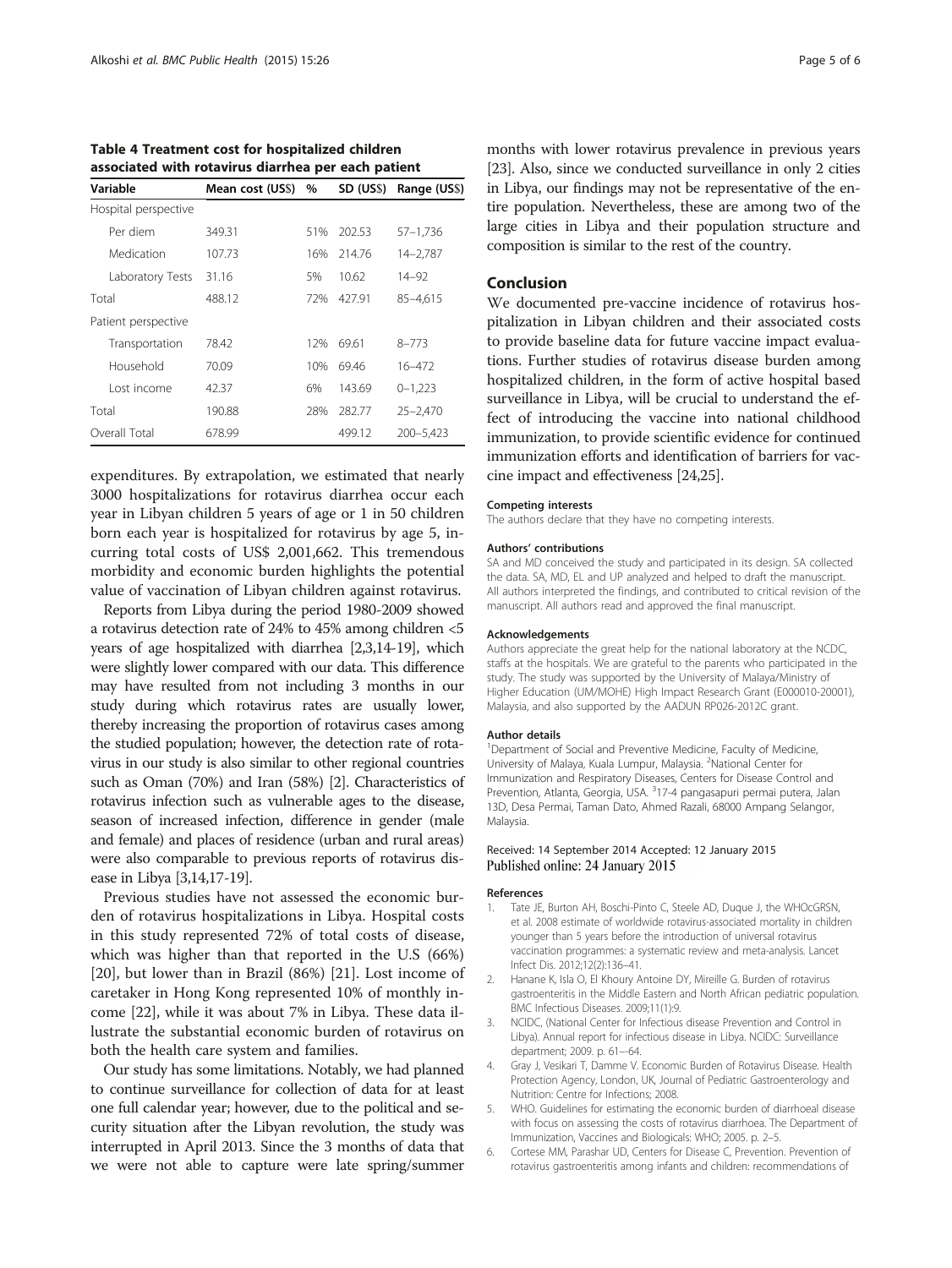<span id="page-4-0"></span>Table 4 Treatment cost for hospitalized children associated with rotavirus diarrhea per each patient

| Variable             | Mean cost (US\$) | %   | SD (US\$) | Range (US\$) |
|----------------------|------------------|-----|-----------|--------------|
| Hospital perspective |                  |     |           |              |
| Per diem             | 349.31           | 51% | 202.53    | 57-1.736     |
| Medication           | 107.73           | 16% | 214.76    | 14-2,787     |
| Laboratory Tests     | 31.16            | 5%  | 10.62     | 14-92        |
| Total                | 488.12           | 72% | 427.91    | 85-4.615     |
| Patient perspective  |                  |     |           |              |
| Transportation       | 78.42            | 12% | 69.61     | $8 - 773$    |
| Household            | 70.09            | 10% | 69.46     | 16-472       |
| Lost income          | 42.37            | 6%  | 143.69    | $0 - 1,223$  |
| Total                | 190.88           | 28% | 282.77    | $25 - 2.470$ |
| Overall Total        | 678.99           |     | 499.12    | 200-5,423    |

expenditures. By extrapolation, we estimated that nearly 3000 hospitalizations for rotavirus diarrhea occur each year in Libyan children 5 years of age or 1 in 50 children born each year is hospitalized for rotavirus by age 5, incurring total costs of US\$ 2,001,662. This tremendous morbidity and economic burden highlights the potential value of vaccination of Libyan children against rotavirus.

Reports from Libya during the period 1980-2009 showed a rotavirus detection rate of 24% to 45% among children <5 years of age hospitalized with diarrhea [2,3[,14-19](#page-5-0)], which were slightly lower compared with our data. This difference may have resulted from not including 3 months in our study during which rotavirus rates are usually lower, thereby increasing the proportion of rotavirus cases among the studied population; however, the detection rate of rotavirus in our study is also similar to other regional countries such as Oman (70%) and Iran (58%) [2]. Characteristics of rotavirus infection such as vulnerable ages to the disease, season of increased infection, difference in gender (male and female) and places of residence (urban and rural areas) were also comparable to previous reports of rotavirus disease in Libya [3[,14,17-19\]](#page-5-0).

Previous studies have not assessed the economic burden of rotavirus hospitalizations in Libya. Hospital costs in this study represented 72% of total costs of disease, which was higher than that reported in the U.S (66%) [[20\]](#page-5-0), but lower than in Brazil (86%) [[21\]](#page-5-0). Lost income of caretaker in Hong Kong represented 10% of monthly income [\[22\]](#page-5-0), while it was about 7% in Libya. These data illustrate the substantial economic burden of rotavirus on both the health care system and families.

Our study has some limitations. Notably, we had planned to continue surveillance for collection of data for at least one full calendar year; however, due to the political and security situation after the Libyan revolution, the study was interrupted in April 2013. Since the 3 months of data that we were not able to capture were late spring/summer

months with lower rotavirus prevalence in previous years [[23](#page-5-0)]. Also, since we conducted surveillance in only 2 cities in Libya, our findings may not be representative of the entire population. Nevertheless, these are among two of the large cities in Libya and their population structure and composition is similar to the rest of the country.

## Conclusion

We documented pre-vaccine incidence of rotavirus hospitalization in Libyan children and their associated costs to provide baseline data for future vaccine impact evaluations. Further studies of rotavirus disease burden among hospitalized children, in the form of active hospital based surveillance in Libya, will be crucial to understand the effect of introducing the vaccine into national childhood immunization, to provide scientific evidence for continued immunization efforts and identification of barriers for vaccine impact and effectiveness [[24,25\]](#page-5-0).

#### Competing interests

The authors declare that they have no competing interests.

#### Authors' contributions

SA and MD conceived the study and participated in its design. SA collected the data. SA, MD, EL and UP analyzed and helped to draft the manuscript. All authors interpreted the findings, and contributed to critical revision of the manuscript. All authors read and approved the final manuscript.

#### Acknowledgements

Authors appreciate the great help for the national laboratory at the NCDC, staffs at the hospitals. We are grateful to the parents who participated in the study. The study was supported by the University of Malaya/Ministry of Higher Education (UM/MOHE) High Impact Research Grant (E000010-20001), Malaysia, and also supported by the AADUN RP026-2012C grant.

#### Author details

<sup>1</sup>Department of Social and Preventive Medicine, Faculty of Medicine, University of Malaya, Kuala Lumpur, Malaysia. <sup>2</sup>National Center for Immunization and Respiratory Diseases, Centers for Disease Control and Prevention, Atlanta, Georgia, USA. <sup>3</sup>17-4 pangasapuri permai putera, Jalan 13D, Desa Permai, Taman Dato, Ahmed Razali, 68000 Ampang Selangor, Malaysia.

#### Received: 14 September 2014 Accepted: 12 January 2015 Published online: 24 January 2015

#### References

- Tate JE, Burton AH, Boschi-Pinto C, Steele AD, Duque J, the WHOcGRSN, et al. 2008 estimate of worldwide rotavirus-associated mortality in children younger than 5 years before the introduction of universal rotavirus vaccination programmes: a systematic review and meta-analysis. Lancet Infect Dis. 2012;12(2):136–41.
- 2. Hanane K, Isla O, El Khoury Antoine DY, Mireille G. Burden of rotavirus gastroenteritis in the Middle Eastern and North African pediatric population. BMC Infectious Diseases. 2009;11(1):9.
- 3. NCIDC, (National Center for Infectious disease Prevention and Control in Libya). Annual report for infectious disease in Libya. NCIDC: Surveillance department; 2009. p. 61–-64.
- 4. Gray J, Vesikari T, Damme V. Economic Burden of Rotavirus Disease. Health Protection Agency, London, UK, Journal of Pediatric Gastroenterology and Nutrition: Centre for Infections; 2008.
- 5. WHO. Guidelines for estimating the economic burden of diarrhoeal disease with focus on assessing the costs of rotavirus diarrhoea. The Department of Immunization, Vaccines and Biologicals: WHO; 2005. p. 2–5.
- 6. Cortese MM, Parashar UD, Centers for Disease C, Prevention. Prevention of rotavirus gastroenteritis among infants and children: recommendations of